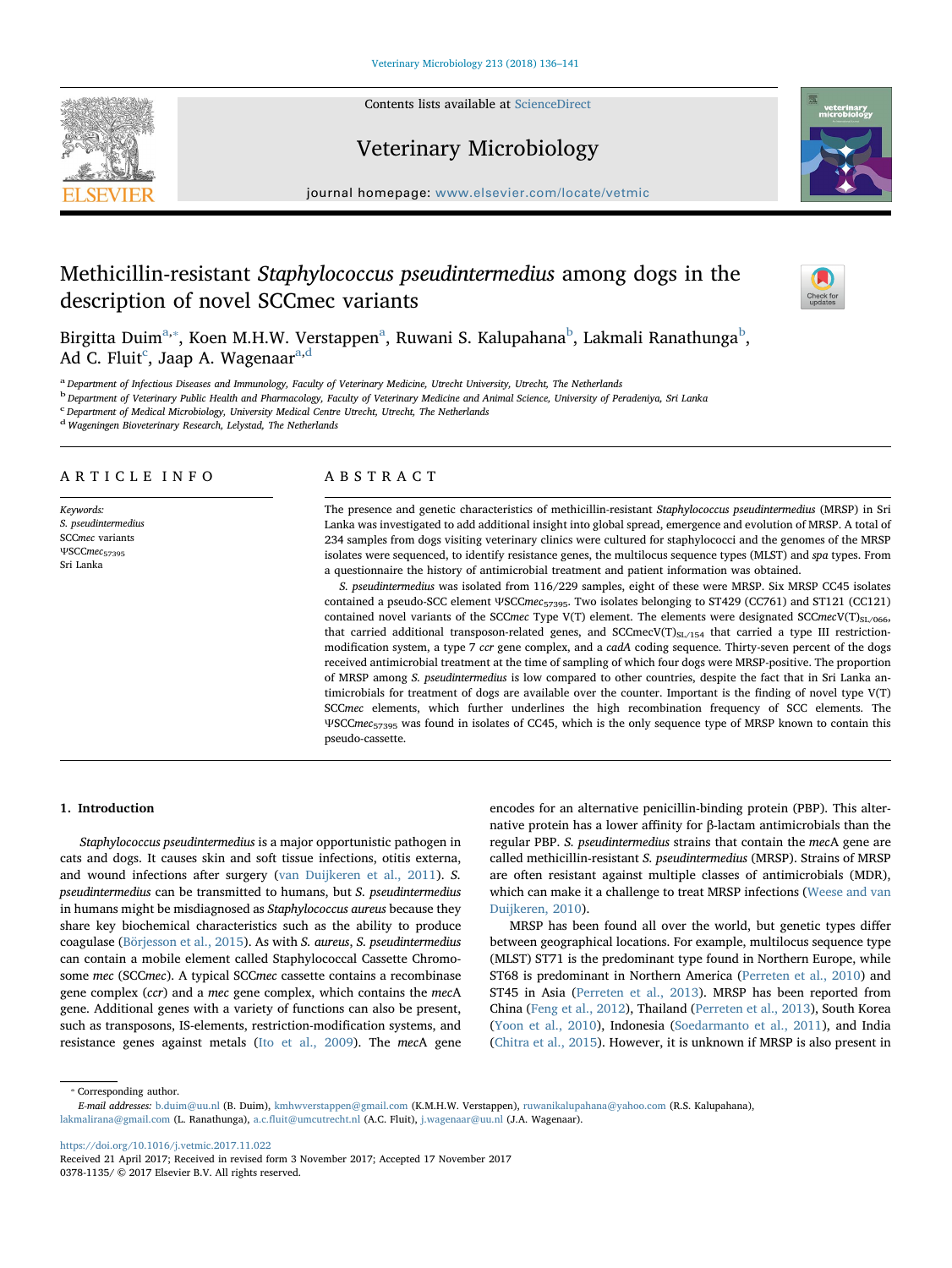Contents lists available at [ScienceDirect](http://www.sciencedirect.com/science/journal/03781135)







journal homepage: [www.elsevier.com/locate/vetmic](https://www.elsevier.com/locate/vetmic)

# Methicillin-resistant Staphylococcus pseudintermedius among dogs in the description of novel SCCmec variants



Birgitt[a](#page-0-0) Duim $^{\rm a, *},$  $^{\rm a, *},$  $^{\rm a, *},$  Koen M.H.W. Verstappen $^{\rm a}$ , Ruwani S. Kalupahana $^{\rm b}$  $^{\rm b}$  $^{\rm b}$ , Lakmali Ranathunga $^{\rm b}$ , Ad C. Fluit<sup>[c](#page-0-3)</sup>, Jaap A. Wagenaar<sup>[a,](#page-0-0)[d](#page-0-4)</sup>

<span id="page-0-0"></span>a Department of Infectious Diseases and Immunology, Faculty of Veterinary Medicine, Utrecht University, Utrecht, The Netherlands

<span id="page-0-2"></span><sup>b</sup> Department of Veterinary Public Health and Pharmacology, Faculty of Veterinary Medicine and Animal Science, University of Peradeniya, Sri Lanka

<span id="page-0-3"></span>c Department of Medical Microbiology, University Medical Centre Utrecht, Utrecht, The Netherlands

<span id="page-0-4"></span><sup>d</sup> Wageningen Bioveterinary Research, Lelystad, The Netherlands

# ARTICLE INFO

Keywords: S. pseudintermedius SCCmec variants ΨSCCmec<sub>57395</sub> Sri Lanka

# ABSTRACT

The presence and genetic characteristics of methicillin-resistant Staphylococcus pseudintermedius (MRSP) in Sri Lanka was investigated to add additional insight into global spread, emergence and evolution of MRSP. A total of 234 samples from dogs visiting veterinary clinics were cultured for staphylococci and the genomes of the MRSP isolates were sequenced, to identify resistance genes, the multilocus sequence types (MLST) and spa types. From a questionnaire the history of antimicrobial treatment and patient information was obtained.

S. pseudintermedius was isolated from 116/229 samples, eight of these were MRSP. Six MRSP CC45 isolates contained a pseudo-SCC element ΨSCCmec57395. Two isolates belonging to ST429 (CC761) and ST121 (CC121) contained novel variants of the SCCmec Type V(T) element. The elements were designated SCCmecV(T)<sub>SL/066</sub>, that carried additional transposon-related genes, and SCCmecV(T) $_{SL/154}$  that carried a type III restrictionmodification system, a type 7 ccr gene complex, and a cadA coding sequence. Thirty-seven percent of the dogs received antimicrobial treatment at the time of sampling of which four dogs were MRSP-positive. The proportion of MRSP among S. pseudintermedius is low compared to other countries, despite the fact that in Sri Lanka antimicrobials for treatment of dogs are available over the counter. Important is the finding of novel type V(T) SCCmec elements, which further underlines the high recombination frequency of SCC elements. The ΨSCCmec<sup>57395</sup> was found in isolates of CC45, which is the only sequence type of MRSP known to contain this pseudo-cassette.

# 1. Introduction

Staphylococcus pseudintermedius is a major opportunistic pathogen in cats and dogs. It causes skin and soft tissue infections, otitis externa, and wound infections after surgery ([van Duijkeren et al., 2011](#page-5-0)). S. pseudintermedius can be transmitted to humans, but S. pseudintermedius in humans might be misdiagnosed as Staphylococcus aureus because they share key biochemical characteristics such as the ability to produce coagulase [\(Börjesson et al., 2015](#page-5-1)). As with S. aureus, S. pseudintermedius can contain a mobile element called Staphylococcal Cassette Chromosome mec (SCCmec). A typical SCCmec cassette contains a recombinase gene complex (ccr) and a mec gene complex, which contains the mecA gene. Additional genes with a variety of functions can also be present, such as transposons, IS-elements, restriction-modification systems, and resistance genes against metals ([Ito et al., 2009](#page-5-2)). The mecA gene

encodes for an alternative penicillin-binding protein (PBP). This alternative protein has a lower affinity for β-lactam antimicrobials than the regular PBP. S. pseudintermedius strains that contain the mecA gene are called methicillin-resistant S. pseudintermedius (MRSP). Strains of MRSP are often resistant against multiple classes of antimicrobials (MDR), which can make it a challenge to treat MRSP infections [\(Weese and van](#page-5-3) [Duijkeren, 2010\)](#page-5-3).

MRSP has been found all over the world, but genetic types differ between geographical locations. For example, multilocus sequence type (MLST) ST71 is the predominant type found in Northern Europe, while ST68 is predominant in Northern America [\(Perreten et al., 2010\)](#page-5-4) and ST45 in Asia ([Perreten et al., 2013](#page-5-5)). MRSP has been reported from China [\(Feng et al., 2012](#page-5-6)), Thailand [\(Perreten et al., 2013](#page-5-5)), South Korea ([Yoon et al., 2010](#page-5-7)), Indonesia [\(Soedarmanto et al., 2011](#page-5-8)), and India ([Chitra et al., 2015\)](#page-5-9). However, it is unknown if MRSP is also present in

<span id="page-0-1"></span>⁎ Corresponding author.

E-mail addresses: [b.duim@uu.nl](mailto:b.duim@uu.nl) (B. Duim), [kmhwverstappen@gmail.com](mailto:kmhwverstappen@gmail.com) (K.M.H.W. Verstappen), [ruwanikalupahana@yahoo.com](mailto:ruwanikalupahana@yahoo.com) (R.S. Kalupahana), [lakmalirana@gmail.com](mailto:lakmalirana@gmail.com) (L. Ranathunga), a.c.fl[uit@umcutrecht.nl](mailto:a.c.fluit@umcutrecht.nl) (A.C. Fluit), [j.wagenaar@uu.nl](mailto:j.wagenaar@uu.nl) (J.A. Wagenaar).

<https://doi.org/10.1016/j.vetmic.2017.11.022>

Received 21 April 2017; Received in revised form 3 November 2017; Accepted 17 November 2017 0378-1135/ © 2017 Elsevier B.V. All rights reserved.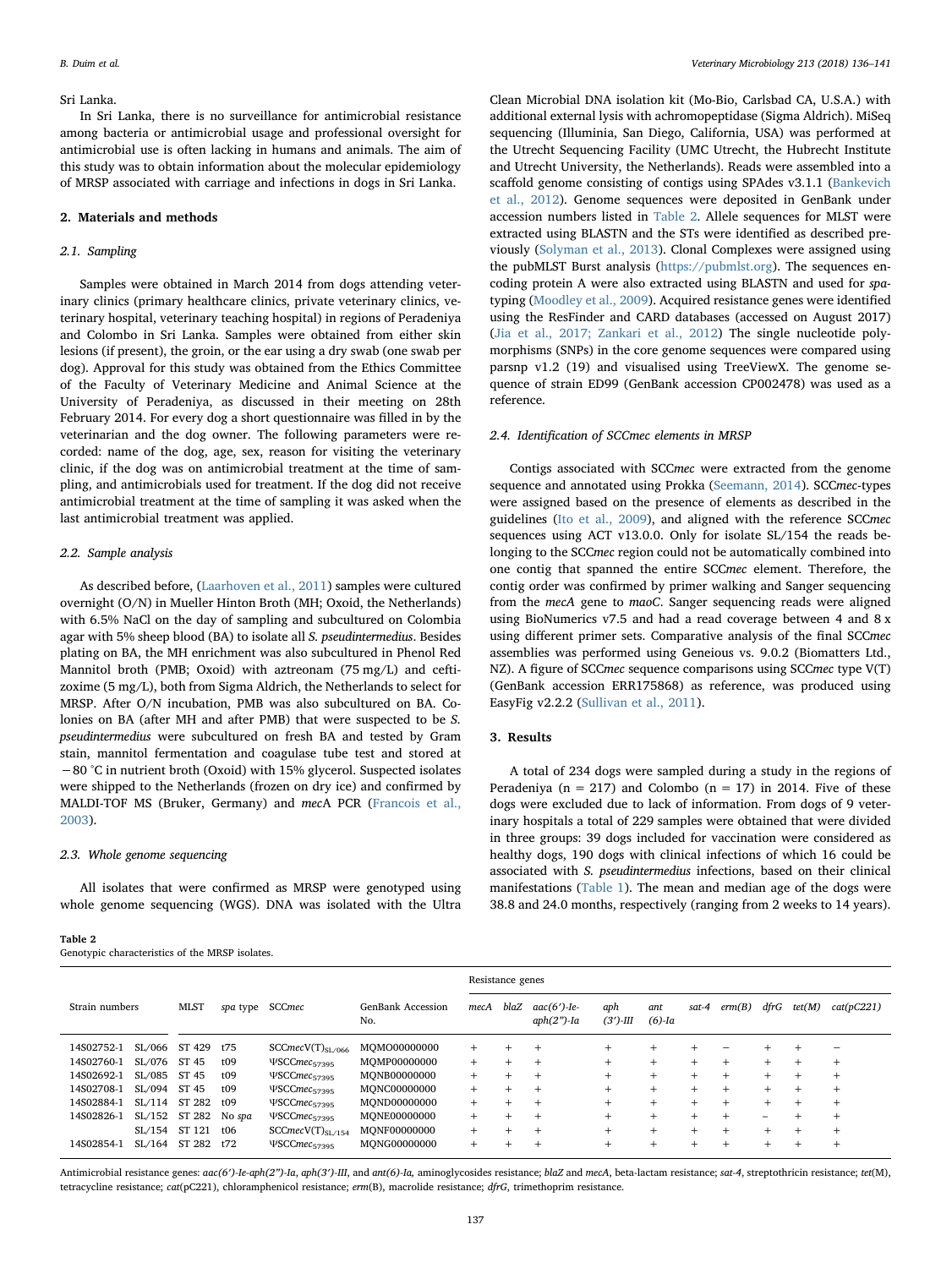#### Sri Lanka.

In Sri Lanka, there is no surveillance for antimicrobial resistance among bacteria or antimicrobial usage and professional oversight for antimicrobial use is often lacking in humans and animals. The aim of this study was to obtain information about the molecular epidemiology of MRSP associated with carriage and infections in dogs in Sri Lanka.

#### 2. Materials and methods

## 2.1. Sampling

Samples were obtained in March 2014 from dogs attending veterinary clinics (primary healthcare clinics, private veterinary clinics, veterinary hospital, veterinary teaching hospital) in regions of Peradeniya and Colombo in Sri Lanka. Samples were obtained from either skin lesions (if present), the groin, or the ear using a dry swab (one swab per dog). Approval for this study was obtained from the Ethics Committee of the Faculty of Veterinary Medicine and Animal Science at the University of Peradeniya, as discussed in their meeting on 28th February 2014. For every dog a short questionnaire was filled in by the veterinarian and the dog owner. The following parameters were recorded: name of the dog, age, sex, reason for visiting the veterinary clinic, if the dog was on antimicrobial treatment at the time of sampling, and antimicrobials used for treatment. If the dog did not receive antimicrobial treatment at the time of sampling it was asked when the last antimicrobial treatment was applied.

#### 2.2. Sample analysis

As described before, [\(Laarhoven et al., 2011\)](#page-5-10) samples were cultured overnight (O/N) in Mueller Hinton Broth (MH; Oxoid, the Netherlands) with 6.5% NaCl on the day of sampling and subcultured on Colombia agar with 5% sheep blood (BA) to isolate all S. pseudintermedius. Besides plating on BA, the MH enrichment was also subcultured in Phenol Red Mannitol broth (PMB; Oxoid) with aztreonam (75 mg/L) and ceftizoxime (5 mg/L), both from Sigma Aldrich, the Netherlands to select for MRSP. After O/N incubation, PMB was also subcultured on BA. Colonies on BA (after MH and after PMB) that were suspected to be S. pseudintermedius were subcultured on fresh BA and tested by Gram stain, mannitol fermentation and coagulase tube test and stored at −80 °C in nutrient broth (Oxoid) with 15% glycerol. Suspected isolates were shipped to the Netherlands (frozen on dry ice) and confirmed by MALDI-TOF MS (Bruker, Germany) and mecA PCR [\(Francois et al.,](#page-5-11) [2003\)](#page-5-11).

## 2.3. Whole genome sequencing

All isolates that were confirmed as MRSP were genotyped using whole genome sequencing (WGS). DNA was isolated with the Ultra

#### <span id="page-1-0"></span>Table 2

Genotypic characteristics of the MRSP isolates.

Clean Microbial DNA isolation kit (Mo-Bio, Carlsbad CA, U.S.A.) with additional external lysis with achromopeptidase (Sigma Aldrich). MiSeq sequencing (Illuminia, San Diego, California, USA) was performed at the Utrecht Sequencing Facility (UMC Utrecht, the Hubrecht Institute and Utrecht University, the Netherlands). Reads were assembled into a scaffold genome consisting of contigs using SPAdes v3.1.1 [\(Bankevich](#page-5-12) [et al., 2012](#page-5-12)). Genome sequences were deposited in GenBank under accession numbers listed in [Table 2](#page-1-0). Allele sequences for MLST were extracted using BLASTN and the STs were identified as described previously ([Solyman et al., 2013\)](#page-5-13). Clonal Complexes were assigned using the pubMLST Burst analysis [\(https://pubmlst.org](https://pubmlst.org)). The sequences encoding protein A were also extracted using BLASTN and used for spatyping ([Moodley et al., 2009\)](#page-5-14). Acquired resistance genes were identified using the ResFinder and CARD databases (accessed on August 2017) ([Jia et al., 2017; Zankari et al., 2012](#page-5-15)) The single nucleotide polymorphisms (SNPs) in the core genome sequences were compared using parsnp v1.2 (19) and visualised using TreeViewX. The genome sequence of strain ED99 (GenBank accession CP002478) was used as a reference.

#### 2.4. Identification of SCCmec elements in MRSP

Contigs associated with SCCmec were extracted from the genome sequence and annotated using Prokka ([Seemann, 2014\)](#page-5-16). SCCmec-types were assigned based on the presence of elements as described in the guidelines [\(Ito et al., 2009\)](#page-5-2), and aligned with the reference SCCmec sequences using ACT v13.0.0. Only for isolate SL/154 the reads belonging to the SCCmec region could not be automatically combined into one contig that spanned the entire SCCmec element. Therefore, the contig order was confirmed by primer walking and Sanger sequencing from the mecA gene to maoC. Sanger sequencing reads were aligned using BioNumerics v7.5 and had a read coverage between 4 and 8 x using different primer sets. Comparative analysis of the final SCCmec assemblies was performed using Geneious vs. 9.0.2 (Biomatters Ltd., NZ). A figure of SCCmec sequence comparisons using SCCmec type V(T) (GenBank accession ERR175868) as reference, was produced using EasyFig v2.2.2 [\(Sullivan et al., 2011](#page-5-17)).

### 3. Results

A total of 234 dogs were sampled during a study in the regions of Peradeniya ( $n = 217$ ) and Colombo ( $n = 17$ ) in 2014. Five of these dogs were excluded due to lack of information. From dogs of 9 veterinary hospitals a total of 229 samples were obtained that were divided in three groups: 39 dogs included for vaccination were considered as healthy dogs, 190 dogs with clinical infections of which 16 could be associated with S. pseudintermedius infections, based on their clinical manifestations ([Table 1\)](#page-2-0). The mean and median age of the dogs were 38.8 and 24.0 months, respectively (ranging from 2 weeks to 14 years).

|                |            |        | <b>MLST</b> | spa type | <b>SCCmec</b>                   | <b>GenBank Accession</b><br>No. | Resistance genes |                                 |                    |                  |        |        |        |        |            |        |
|----------------|------------|--------|-------------|----------|---------------------------------|---------------------------------|------------------|---------------------------------|--------------------|------------------|--------|--------|--------|--------|------------|--------|
| Strain numbers |            | mecA   |             |          |                                 |                                 | blaZ             | $aac(6')$ -Ie-<br>$aph(2")$ -Ia | aph<br>$(3')$ -III | ant<br>$(6)$ -Ia | sat-4  | erm(B) | dfrG   | tet(M) | cat(pC221) |        |
|                | 14S02752-1 | SL/066 | ST 429      | t75      | SCCmecV(T) <sub>SL/066</sub>    | MOMO00000000                    | $+$              | $^{+}$                          | $^{+}$             | $+$              | $\pm$  |        |        |        |            |        |
|                | 14S02760-1 | SL/076 | ST 45       | t09      | ΨSCCmec <sub>57395</sub>        | MOMP00000000                    | $+$              | $+$                             | $^{+}$             | $+$              | $+$    | $+$    | $\div$ | $+$    | $\div$     | $\pm$  |
|                | 14S02692-1 | SL/085 | ST 45       | t09      | ΨSCCmec <sub>57395</sub>        | MONB00000000                    | $+$              | $^{+}$                          | $^{+}$             | $+$              | $+$    | $+$    | $\pm$  | $+$    | $^{+}$     | $\pm$  |
|                | 14S02708-1 | SL/094 | ST 45       | t09      | ΨSCCmec <sub>57395</sub>        | MONC00000000                    | $+$              | $^{+}$                          | $^{+}$             | $^{+}$           | $^{+}$ | $^+$   | $\div$ | $+$    | $^{+}$     | $^{+}$ |
|                | 14S02884-1 | SL/114 | ST 282      | t09      | ΨSCCmec <sub>57395</sub>        | MOND00000000                    | $+$              | $^{+}$                          | $^{+}$             | $+$              | $^{+}$ | $+$    | $^{+}$ | $+$    | $^{+}$     | $\pm$  |
|                | 14S02826-1 | SL/152 | ST 282      | No spa   | <b>VSCCmec</b> <sub>57395</sub> | MONE00000000                    | $+$              | $^{+}$                          | $^{+}$             | $+$              | $^{+}$ |        | $^{+}$ | -      | $\div$     | $\pm$  |
|                |            | SL/154 | ST 121      | t06      | SCCmecV(T) <sub>SL/154</sub>    | MONF00000000                    | $+$              | $^{+}$                          | $^{+}$             | $+$              | $^{+}$ | $\pm$  | $\div$ | $+$    | $^{+}$     | $^{+}$ |
|                | 14S02854-1 | SL/164 | ST 282      | t72      | ΨSCCmec <sub>57395</sub>        | MONG00000000                    | $+$              |                                 | $^{+}$             | $^{+}$           | $^{+}$ |        |        | $^{+}$ |            | $\pm$  |
|                |            |        |             |          |                                 |                                 |                  |                                 |                    |                  |        |        |        |        |            |        |

Antimicrobial resistance genes: aac(6')-Ie-aph(2")-Ia, aph(3')-III, and ant(6)-Ia, aminoglycosides resistance; blaZ and mecA, beta-lactam resistance; sat-4, streptothricin resistance; tet(M), tetracycline resistance; cat(pC221), chloramphenicol resistance; erm(B), macrolide resistance; dfrG, trimethoprim resistance.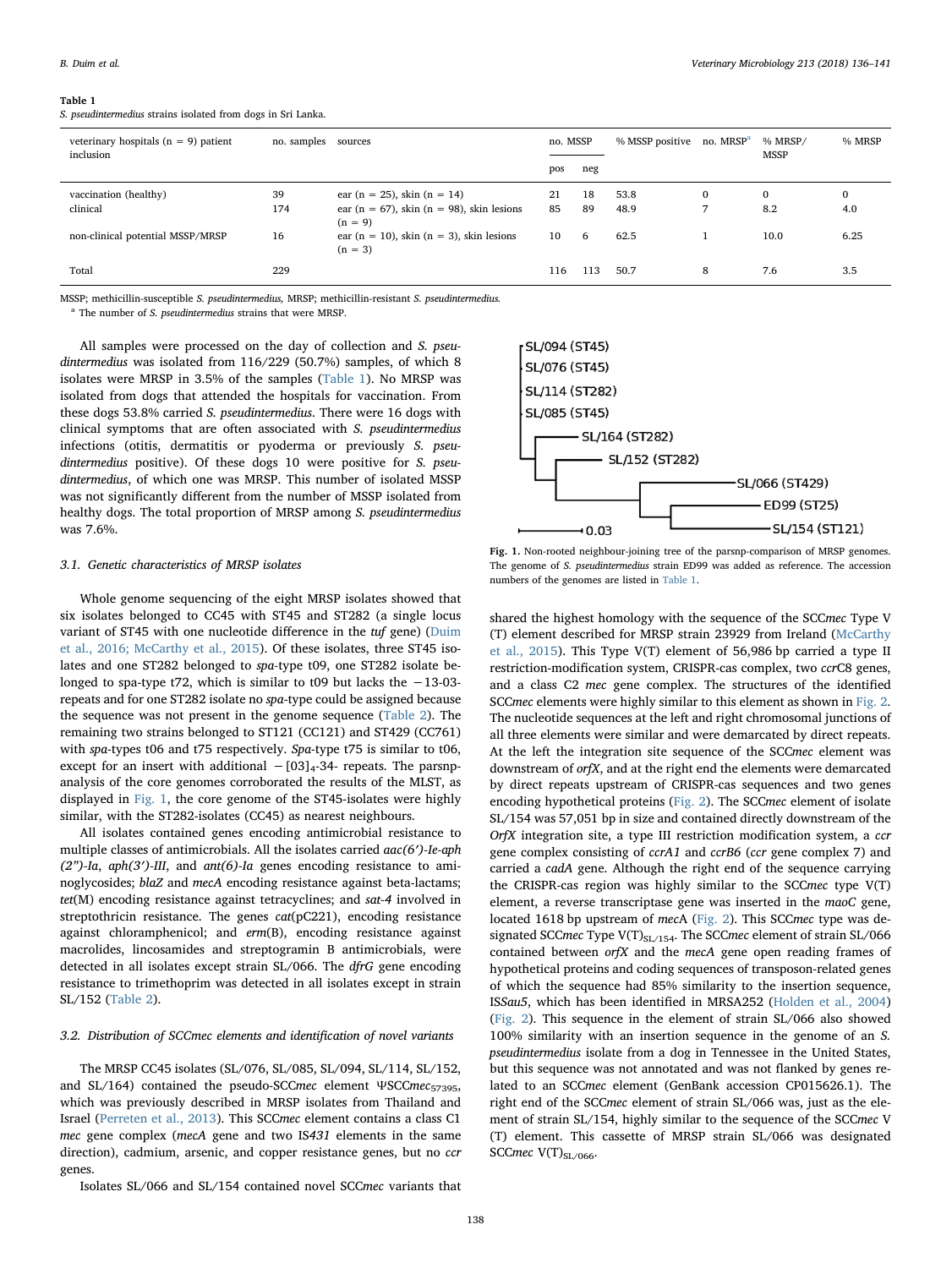<span id="page-2-0"></span>

|--|--|

|  | S. pseudintermedius strains isolated from dogs in Sri Lanka. |  |  |  |  |  |  |  |
|--|--------------------------------------------------------------|--|--|--|--|--|--|--|
|--|--------------------------------------------------------------|--|--|--|--|--|--|--|

| veterinary hospitals ( $n = 9$ ) patient<br>inclusion | no. samples | sources                                                                               |          | no. MSSP | % MSSP positive | no. MRSP <sup>a</sup> | % MRSP/<br><b>MSSP</b> | % MRSP              |
|-------------------------------------------------------|-------------|---------------------------------------------------------------------------------------|----------|----------|-----------------|-----------------------|------------------------|---------------------|
|                                                       |             |                                                                                       | pos      | neg      |                 |                       |                        |                     |
| vaccination (healthy)<br>clinical                     | 39<br>174   | ear (n = 25), skin (n = 14)<br>ear (n = 67), skin (n = 98), skin lesions<br>$(n = 9)$ | 21<br>85 | 18<br>89 | 53.8<br>48.9    | 0<br>∍                | $\bf{0}$<br>8.2        | $\mathbf{0}$<br>4.0 |
| non-clinical potential MSSP/MRSP                      | 16          | ear ( $n = 10$ ), skin ( $n = 3$ ), skin lesions<br>$(n = 3)$                         | 10       | 6        | 62.5            |                       | 10.0                   | 6.25                |
| Total                                                 | 229         |                                                                                       | 116      | 113      | 50.7            | 8                     | 7.6                    | 3.5                 |

MSSP; methicillin-susceptible S. pseudintermedius, MRSP; methicillin-resistant S. pseudintermedius.

<span id="page-2-2"></span> $a$  The number of S. pseudintermedius strains that were MRSP.

All samples were processed on the day of collection and S. pseudintermedius was isolated from 116/229 (50.7%) samples, of which 8 isolates were MRSP in 3.5% of the samples ([Table 1](#page-2-0)). No MRSP was isolated from dogs that attended the hospitals for vaccination. From these dogs 53.8% carried S. pseudintermedius. There were 16 dogs with clinical symptoms that are often associated with S. pseudintermedius infections (otitis, dermatitis or pyoderma or previously S. pseudintermedius positive). Of these dogs 10 were positive for S. pseudintermedius, of which one was MRSP. This number of isolated MSSP was not significantly different from the number of MSSP isolated from healthy dogs. The total proportion of MRSP among S. pseudintermedius was 7.6%.

### 3.1. Genetic characteristics of MRSP isolates

Whole genome sequencing of the eight MRSP isolates showed that six isolates belonged to CC45 with ST45 and ST282 (a single locus variant of ST45 with one nucleotide difference in the tuf gene) [\(Duim](#page-5-18) [et al., 2016; McCarthy et al., 2015](#page-5-18)). Of these isolates, three ST45 isolates and one ST282 belonged to spa-type t09, one ST282 isolate belonged to spa-type t72, which is similar to t09 but lacks the −13-03 repeats and for one ST282 isolate no spa-type could be assigned because the sequence was not present in the genome sequence [\(Table 2](#page-1-0)). The remaining two strains belonged to ST121 (CC121) and ST429 (CC761) with spa-types t06 and t75 respectively. Spa-type t75 is similar to t06, except for an insert with additional  $-[03]_4$ -34- repeats. The parsnpanalysis of the core genomes corroborated the results of the MLST, as displayed in [Fig. 1,](#page-2-1) the core genome of the ST45-isolates were highly similar, with the ST282-isolates (CC45) as nearest neighbours.

All isolates contained genes encoding antimicrobial resistance to multiple classes of antimicrobials. All the isolates carried  $aac(6')$ -Ie-aph  $(2<sup>n</sup>)$ -Ia, aph $(3')$ -III, and ant $(6)$ -Ia genes encoding resistance to aminoglycosides; blaZ and mecA encoding resistance against beta-lactams; tet(M) encoding resistance against tetracyclines; and sat-4 involved in streptothricin resistance. The genes cat(pC221), encoding resistance against chloramphenicol; and erm(B), encoding resistance against macrolides, lincosamides and streptogramin B antimicrobials, were detected in all isolates except strain SL/066. The dfrG gene encoding resistance to trimethoprim was detected in all isolates except in strain SL/152 ([Table 2\)](#page-1-0).

## 3.2. Distribution of SCCmec elements and identification of novel variants

The MRSP CC45 isolates (SL/076, SL/085, SL/094, SL/114, SL/152, and SL/164) contained the pseudo-SCCmec element ΨSCCmec<sub>57395</sub>, which was previously described in MRSP isolates from Thailand and Israel [\(Perreten et al., 2013](#page-5-5)). This SCCmec element contains a class C1 mec gene complex (mecA gene and two IS431 elements in the same direction), cadmium, arsenic, and copper resistance genes, but no ccr genes.

Isolates SL/066 and SL/154 contained novel SCCmec variants that

<span id="page-2-1"></span>

Fig. 1. Non-rooted neighbour-joining tree of the parsnp-comparison of MRSP genomes. The genome of S. pseudintermedius strain ED99 was added as reference. The accession numbers of the genomes are listed in [Table 1.](#page-2-0)

shared the highest homology with the sequence of the SCCmec Type V (T) element described for MRSP strain 23929 from Ireland [\(McCarthy](#page-5-19) [et al., 2015](#page-5-19)). This Type V(T) element of 56,986 bp carried a type II restriction-modification system, CRISPR-cas complex, two ccrC8 genes, and a class C2 mec gene complex. The structures of the identified SCCmec elements were highly similar to this element as shown in [Fig. 2](#page-3-0). The nucleotide sequences at the left and right chromosomal junctions of all three elements were similar and were demarcated by direct repeats. At the left the integration site sequence of the SCCmec element was downstream of orfX, and at the right end the elements were demarcated by direct repeats upstream of CRISPR-cas sequences and two genes encoding hypothetical proteins ([Fig. 2\)](#page-3-0). The SCCmec element of isolate SL/154 was 57,051 bp in size and contained directly downstream of the OrfX integration site, a type III restriction modification system, a ccr gene complex consisting of ccrA1 and ccrB6 (ccr gene complex 7) and carried a cadA gene. Although the right end of the sequence carrying the CRISPR-cas region was highly similar to the SCCmec type V(T) element, a reverse transcriptase gene was inserted in the maoC gene, located 1618 bp upstream of mecA [\(Fig. 2\)](#page-3-0). This SCCmec type was designated SCCmec Type V(T) $_{\rm SL/154}$ . The SCCmec element of strain SL/066 contained between  $orfX$  and the mecA gene open reading frames of hypothetical proteins and coding sequences of transposon-related genes of which the sequence had 85% similarity to the insertion sequence, ISSau5, which has been identified in MRSA252 [\(Holden et al., 2004\)](#page-5-20) ([Fig. 2\)](#page-3-0). This sequence in the element of strain SL/066 also showed 100% similarity with an insertion sequence in the genome of an S. pseudintermedius isolate from a dog in Tennessee in the United States, but this sequence was not annotated and was not flanked by genes related to an SCCmec element (GenBank accession CP015626.1). The right end of the SCCmec element of strain SL/066 was, just as the element of strain SL/154, highly similar to the sequence of the SCCmec V (T) element. This cassette of MRSP strain SL/066 was designated SCCmec  $V(T)_{SL/066}$ .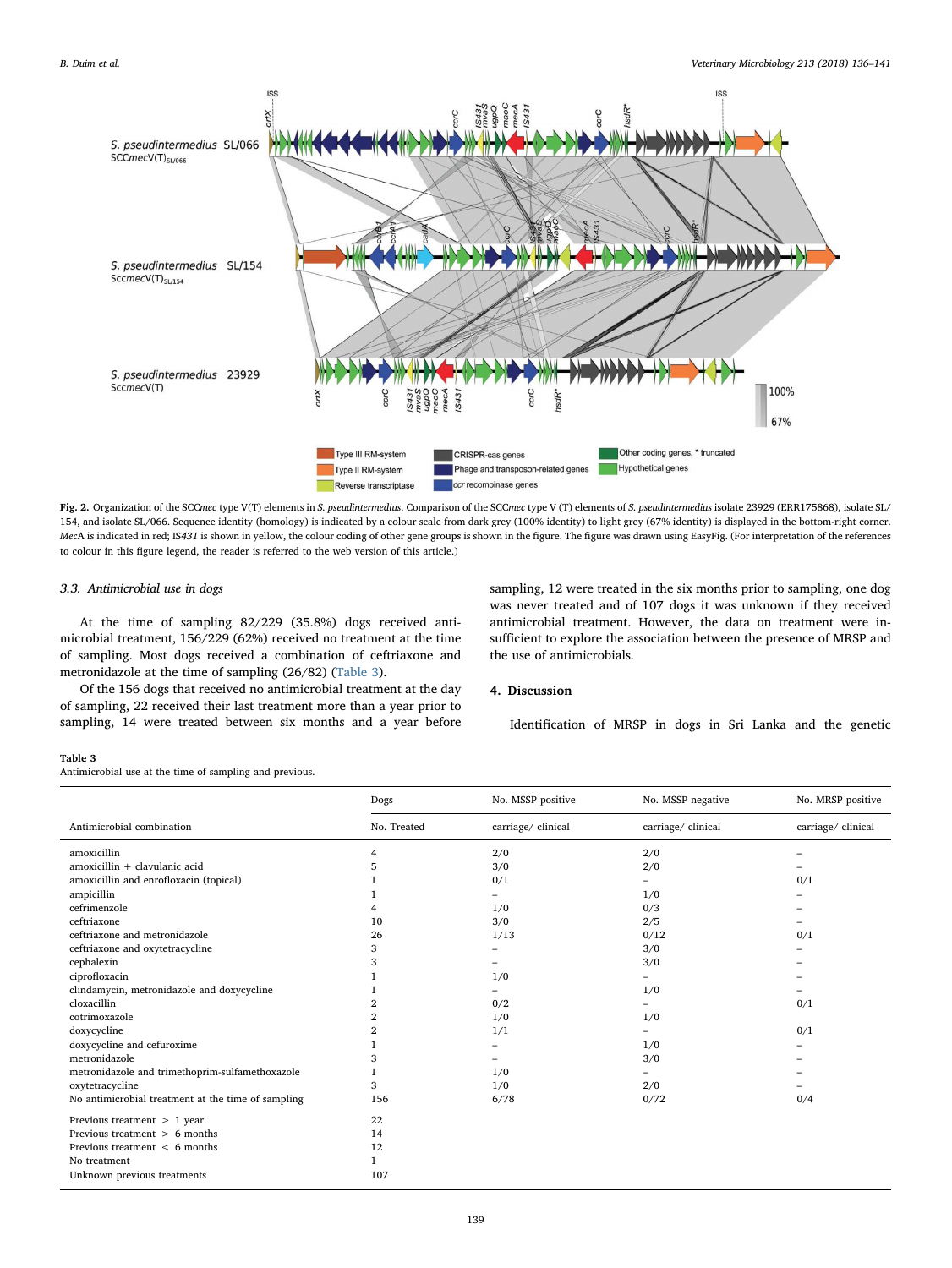<span id="page-3-0"></span>

Fig. 2. Organization of the SCCmec type V(T) elements in S. pseudintermedius. Comparison of the SCCmec type V (T) elements of S. pseudintermedius isolate 23929 (ERR175868), isolate SL/ 154, and isolate SL/066. Sequence identity (homology) is indicated by a colour scale from dark grey (100% identity) to light grey (67% identity) is displayed in the bottom-right corner. MecA is indicated in red; IS431 is shown in yellow, the colour coding of other gene groups is shown in the figure. The figure was drawn using EasyFig. (For interpretation of the references to colour in this figure legend, the reader is referred to the web version of this article.)

## 3.3. Antimicrobial use in dogs

At the time of sampling 82/229 (35.8%) dogs received antimicrobial treatment, 156/229 (62%) received no treatment at the time of sampling. Most dogs received a combination of ceftriaxone and metronidazole at the time of sampling (26/82) [\(Table 3\)](#page-3-1).

sampling, 12 were treated in the six months prior to sampling, one dog was never treated and of 107 dogs it was unknown if they received antimicrobial treatment. However, the data on treatment were insufficient to explore the association between the presence of MRSP and the use of antimicrobials.

Of the 156 dogs that received no antimicrobial treatment at the day of sampling, 22 received their last treatment more than a year prior to sampling, 14 were treated between six months and a year before

# 4. Discussion

Identification of MRSP in dogs in Sri Lanka and the genetic

#### <span id="page-3-1"></span>Table 3

Antimicrobial use at the time of sampling and previous.

|                                                    | Dogs           | No. MSSP positive  | No. MSSP negative | No. MRSP positive |
|----------------------------------------------------|----------------|--------------------|-------------------|-------------------|
| Antimicrobial combination                          | No. Treated    | carriage/ clinical | carriage/clinical | carriage/clinical |
| amoxicillin                                        | 4              | 2/0                | 2/0               |                   |
| $amoxicillin + clavulanic acid$                    | 5              | 3/0                | 2/0               |                   |
| amoxicillin and enrofloxacin (topical)             |                | 0/1                |                   | 0/1               |
| ampicillin                                         |                | -                  | 1/0               |                   |
| cefrimenzole                                       | 4              | 1/0                | 0/3               |                   |
| ceftriaxone                                        | 10             | 3/0                | 2/5               |                   |
| ceftriaxone and metronidazole                      | 26             | 1/13               | 0/12              | 0/1               |
| ceftriaxone and oxytetracycline                    | 3              |                    | 3/0               |                   |
| cephalexin                                         | 3              |                    | 3/0               |                   |
| ciprofloxacin                                      |                | 1/0                |                   |                   |
| clindamycin, metronidazole and doxycycline         |                |                    | 1/0               |                   |
| cloxacillin                                        | $\overline{2}$ | 0/2                |                   | 0/1               |
| cotrimoxazole                                      | 2              | 1/0                | 1/0               |                   |
| doxycycline                                        | $\overline{2}$ | 1/1                |                   | 0/1               |
| doxycycline and cefuroxime                         |                |                    | 1/0               |                   |
| metronidazole                                      | 3              |                    | 3/0               |                   |
| metronidazole and trimethoprim-sulfamethoxazole    |                | 1/0                |                   |                   |
| oxytetracycline                                    | 3              | 1/0                | 2/0               |                   |
| No antimicrobial treatment at the time of sampling | 156            | 6/78               | 0/72              | 0/4               |
| Previous treatment $> 1$ year                      | 22             |                    |                   |                   |
| Previous treatment $> 6$ months                    | 14             |                    |                   |                   |
| Previous treatment $\leq 6$ months                 | 12             |                    |                   |                   |
| No treatment                                       | 1              |                    |                   |                   |
| Unknown previous treatments                        | 107            |                    |                   |                   |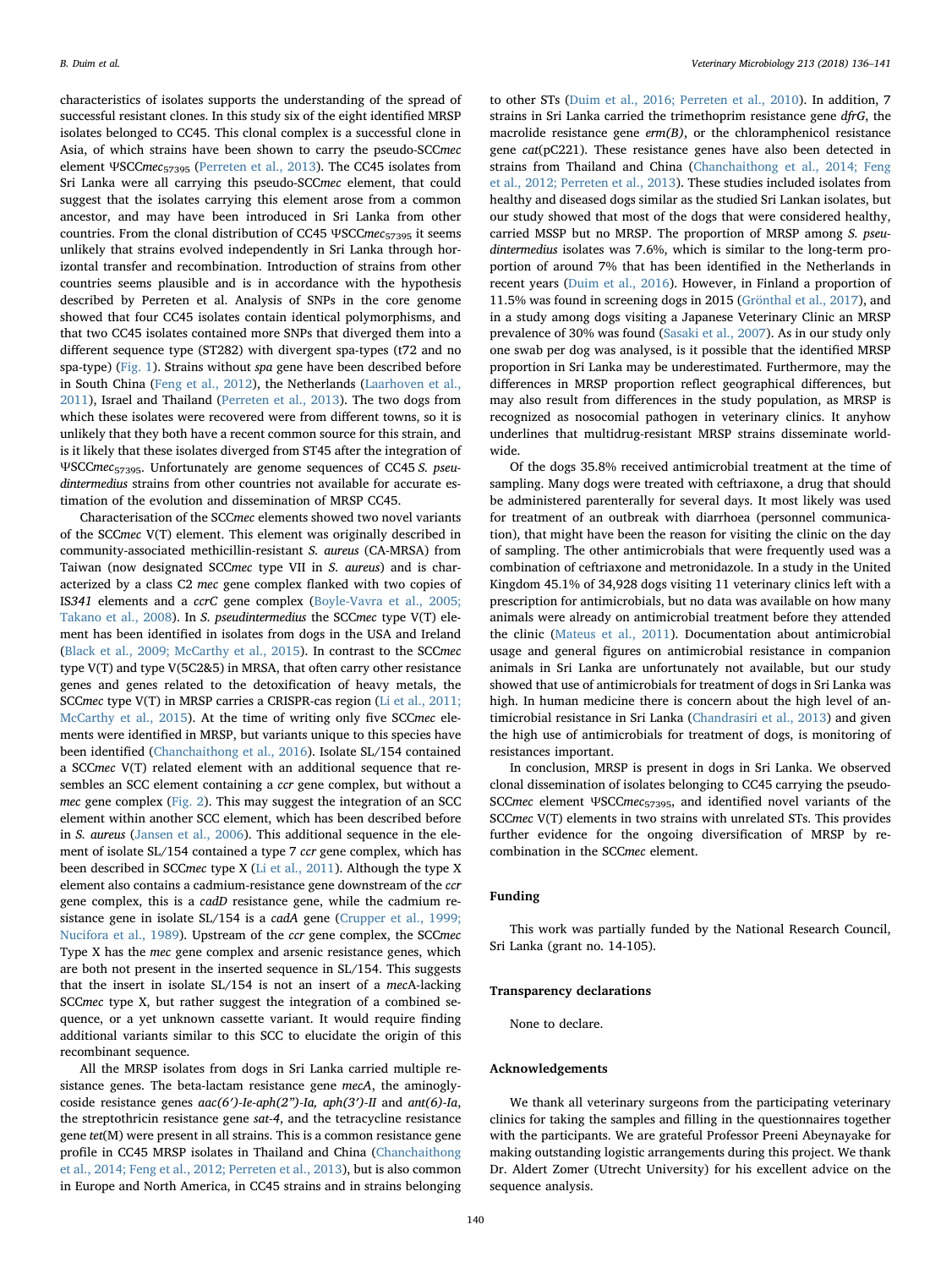characteristics of isolates supports the understanding of the spread of successful resistant clones. In this study six of the eight identified MRSP isolates belonged to CC45. This clonal complex is a successful clone in Asia, of which strains have been shown to carry the pseudo-SCCmec element ΨSCCmec<sub>57395</sub> ([Perreten et al., 2013\)](#page-5-5). The CC45 isolates from Sri Lanka were all carrying this pseudo-SCCmec element, that could suggest that the isolates carrying this element arose from a common ancestor, and may have been introduced in Sri Lanka from other countries. From the clonal distribution of CC45 ΨSCCmec<sub>57395</sub> it seems unlikely that strains evolved independently in Sri Lanka through horizontal transfer and recombination. Introduction of strains from other countries seems plausible and is in accordance with the hypothesis described by Perreten et al. Analysis of SNPs in the core genome showed that four CC45 isolates contain identical polymorphisms, and that two CC45 isolates contained more SNPs that diverged them into a different sequence type (ST282) with divergent spa-types (t72 and no spa-type) ([Fig. 1\)](#page-2-1). Strains without spa gene have been described before in South China ([Feng et al., 2012\)](#page-5-6), the Netherlands [\(Laarhoven et al.,](#page-5-10) [2011\)](#page-5-10), Israel and Thailand ([Perreten et al., 2013](#page-5-5)). The two dogs from which these isolates were recovered were from different towns, so it is unlikely that they both have a recent common source for this strain, and is it likely that these isolates diverged from ST45 after the integration of ΨSCCmec57395. Unfortunately are genome sequences of CC45 S. pseudintermedius strains from other countries not available for accurate estimation of the evolution and dissemination of MRSP CC45.

Characterisation of the SCCmec elements showed two novel variants of the SCCmec V(T) element. This element was originally described in community-associated methicillin-resistant S. aureus (CA-MRSA) from Taiwan (now designated SCCmec type VII in S. aureus) and is characterized by a class C2 mec gene complex flanked with two copies of IS341 elements and a ccrC gene complex ([Boyle-Vavra et al., 2005;](#page-5-21) [Takano et al., 2008\)](#page-5-21). In S. pseudintermedius the SCCmec type V(T) element has been identified in isolates from dogs in the USA and Ireland ([Black et al., 2009; McCarthy et al., 2015\)](#page-5-22). In contrast to the SCCmec type V(T) and type V(5C2&5) in MRSA, that often carry other resistance genes and genes related to the detoxification of heavy metals, the SCCmec type V(T) in MRSP carries a CRISPR-cas region ([Li et al., 2011;](#page-5-23) [McCarthy et al., 2015](#page-5-23)). At the time of writing only five SCCmec elements were identified in MRSP, but variants unique to this species have been identified [\(Chanchaithong et al., 2016](#page-5-24)). Isolate SL/154 contained a SCCmec V(T) related element with an additional sequence that resembles an SCC element containing a ccr gene complex, but without a mec gene complex [\(Fig. 2\)](#page-3-0). This may suggest the integration of an SCC element within another SCC element, which has been described before in S. aureus [\(Jansen et al., 2006\)](#page-5-25). This additional sequence in the element of isolate SL/154 contained a type 7 ccr gene complex, which has been described in SCCmec type X [\(Li et al., 2011\)](#page-5-23). Although the type X element also contains a cadmium-resistance gene downstream of the ccr gene complex, this is a cadD resistance gene, while the cadmium resistance gene in isolate SL/154 is a cadA gene ([Crupper et al., 1999;](#page-5-26) [Nucifora et al., 1989](#page-5-26)). Upstream of the ccr gene complex, the SCCmec Type X has the mec gene complex and arsenic resistance genes, which are both not present in the inserted sequence in SL/154. This suggests that the insert in isolate SL/154 is not an insert of a mecA-lacking SCCmec type X, but rather suggest the integration of a combined sequence, or a yet unknown cassette variant. It would require finding additional variants similar to this SCC to elucidate the origin of this recombinant sequence.

All the MRSP isolates from dogs in Sri Lanka carried multiple resistance genes. The beta-lactam resistance gene mecA, the aminoglycoside resistance genes aac(6′)-Ie-aph(2")-Ia, aph(3′)-II and ant(6)-Ia, the streptothricin resistance gene sat-4, and the tetracycline resistance gene tet(M) were present in all strains. This is a common resistance gene profile in CC45 MRSP isolates in Thailand and China [\(Chanchaithong](#page-5-27) [et al., 2014; Feng et al., 2012; Perreten et al., 2013](#page-5-27)), but is also common in Europe and North America, in CC45 strains and in strains belonging

to other STs [\(Duim et al., 2016; Perreten et al., 2010\)](#page-5-18). In addition, 7 strains in Sri Lanka carried the trimethoprim resistance gene dfrG, the macrolide resistance gene  $erm(B)$ , or the chloramphenicol resistance gene cat(pC221). These resistance genes have also been detected in strains from Thailand and China [\(Chanchaithong et al., 2014; Feng](#page-5-27) [et al., 2012; Perreten et al., 2013](#page-5-27)). These studies included isolates from healthy and diseased dogs similar as the studied Sri Lankan isolates, but our study showed that most of the dogs that were considered healthy, carried MSSP but no MRSP. The proportion of MRSP among S. pseudintermedius isolates was 7.6%, which is similar to the long-term proportion of around 7% that has been identified in the Netherlands in recent years ([Duim et al., 2016\)](#page-5-18). However, in Finland a proportion of 11.5% was found in screening dogs in 2015 [\(Grönthal et al., 2017](#page-5-28)), and in a study among dogs visiting a Japanese Veterinary Clinic an MRSP prevalence of 30% was found [\(Sasaki et al., 2007\)](#page-5-29). As in our study only one swab per dog was analysed, is it possible that the identified MRSP proportion in Sri Lanka may be underestimated. Furthermore, may the differences in MRSP proportion reflect geographical differences, but may also result from differences in the study population, as MRSP is recognized as nosocomial pathogen in veterinary clinics. It anyhow underlines that multidrug-resistant MRSP strains disseminate worldwide.

Of the dogs 35.8% received antimicrobial treatment at the time of sampling. Many dogs were treated with ceftriaxone, a drug that should be administered parenterally for several days. It most likely was used for treatment of an outbreak with diarrhoea (personnel communication), that might have been the reason for visiting the clinic on the day of sampling. The other antimicrobials that were frequently used was a combination of ceftriaxone and metronidazole. In a study in the United Kingdom 45.1% of 34,928 dogs visiting 11 veterinary clinics left with a prescription for antimicrobials, but no data was available on how many animals were already on antimicrobial treatment before they attended the clinic [\(Mateus et al., 2011\)](#page-5-30). Documentation about antimicrobial usage and general figures on antimicrobial resistance in companion animals in Sri Lanka are unfortunately not available, but our study showed that use of antimicrobials for treatment of dogs in Sri Lanka was high. In human medicine there is concern about the high level of antimicrobial resistance in Sri Lanka [\(Chandrasiri et al., 2013](#page-5-31)) and given the high use of antimicrobials for treatment of dogs, is monitoring of resistances important.

In conclusion, MRSP is present in dogs in Sri Lanka. We observed clonal dissemination of isolates belonging to CC45 carrying the pseudo-SCCmec element ΨSCCmec<sub>57395</sub>, and identified novel variants of the SCCmec V(T) elements in two strains with unrelated STs. This provides further evidence for the ongoing diversification of MRSP by recombination in the SCCmec element.

# Funding

This work was partially funded by the National Research Council, Sri Lanka (grant no. 14-105).

### Transparency declarations

None to declare.

## Acknowledgements

We thank all veterinary surgeons from the participating veterinary clinics for taking the samples and filling in the questionnaires together with the participants. We are grateful Professor Preeni Abeynayake for making outstanding logistic arrangements during this project. We thank Dr. Aldert Zomer (Utrecht University) for his excellent advice on the sequence analysis.